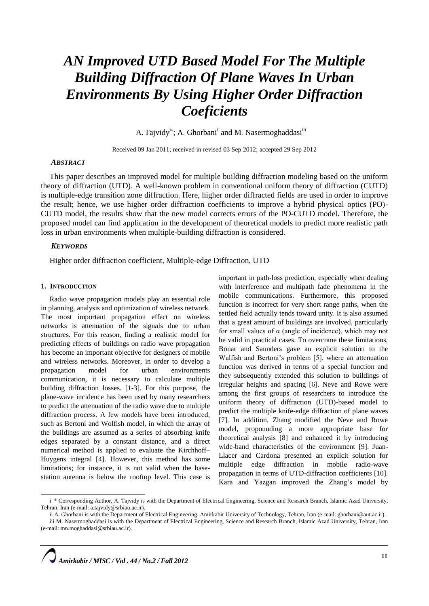# *AN Improved UTD Based Model For The Multiple Building Diffraction Of Plane Waves In Urban Environments By Using Higher Order Diffraction Coeficients*

A. Tajvidy<sup>i\*</sup>; A. Ghorbani<sup>ii</sup> and M. Nasermoghaddasi<sup>iii</sup>

Received 09 Jan 2011; received in revised 03 Sep 2012; accepted 29 Sep 2012

#### *ABSTRACT*

This paper describes an improved model for multiple building diffraction modeling based on the uniform theory of diffraction (UTD). A well-known problem in conventional uniform theory of diffraction (CUTD) is multiple-edge transition zone diffraction. Here, higher order diffracted fields are used in order to improve the result; hence, we use higher order diffraction coefficients to improve a hybrid physical optics (PO)- CUTD model, the results show that the new model corrects errors of the PO-CUTD model. Therefore, the proposed model can find application in the development of theoretical models to predict more realistic path loss in urban environments when multiple-building diffraction is considered.

#### *KEYWORDS*

Higher order diffraction coefficient, Multiple-edge Diffraction, UTD

#### **1. INTRODUCTION**

Radio wave propagation models play an essential role in planning, analysis and optimization of wireless network. The most important propagation effect on wireless networks is attenuation of the signals due to urban structures. For this reason, finding a realistic model for predicting effects of buildings on radio wave propagation has become an important objective for designers of mobile and wireless networks. Moreover, in order to develop a propagation model for urban environments communication, it is necessary to calculate multiple building diffraction losses. [1-3]. For this purpose, the plane-wave incidence has been used by many researchers to predict the attenuation of the radio wave due to multiple diffraction process. A few models have been introduced, such as Bertoni and Wolfish model, in which the array of the buildings are assumed as a series of absorbing knife edges separated by a constant distance, and a direct numerical method is applied to evaluate the Kirchhoff– Huygens integral [4]. However, this method has some limitations; for instance, it is not valid when the basestation antenna is below the rooftop level. This case is

important in path-loss prediction, especially when dealing with interference and multipath fade phenomena in the mobile communications. Furthermore, this proposed function is incorrect for very short range paths, when the settled field actually tends toward unity. It is also assumed that a great amount of buildings are involved, particularly for small values of α (angle of incidence), which may not be valid in practical cases. To overcome these limitations, Bonar and Saunders gave an explicit solution to the Walfish and Bertoni's problem [5], where an attenuation function was derived in terms of a special function and they subsequently extended this solution to buildings of irregular heights and spacing [6]. Neve and Rowe were among the first groups of researchers to introduce the uniform theory of diffraction (UTD)-based model to predict the multiple knife-edge diffraction of plane waves [7]. In addition, Zhang modified the Neve and Rowe model, propounding a more appropriate base for theoretical analysis [8] and enhanced it by introducing wide-band characteristics of the environment [9]. Juan-Llacer and Cardona presented an explicit solution for multiple edge diffraction in mobile radio-wave propagation in terms of UTD-diffraction coefficients [10]. Kara and Yazgan improved the Zhang's model by

 $\overline{a}$ 

i \* Corresponding Author, A. Tajvidy is with the Department of Electrical Engineering, Science and Research Branch, Islamic Azad University, Tehran, Iran (e-mail: a.tajvidy@srbiau.ac.ir).

ii A. Ghorbani is with the Department of Electrical Engineering, Amirkabir University of Technology, Tehran, Iran (e-mail: [ghorbani@aut.ac.ir\)](mailto:ghorbani@aut.ac.ir). iii M. Nasermoghaddasi is with the Department of Electrical Engineering, Science and Research Branch, Islamic Azad University, Tehran, Iran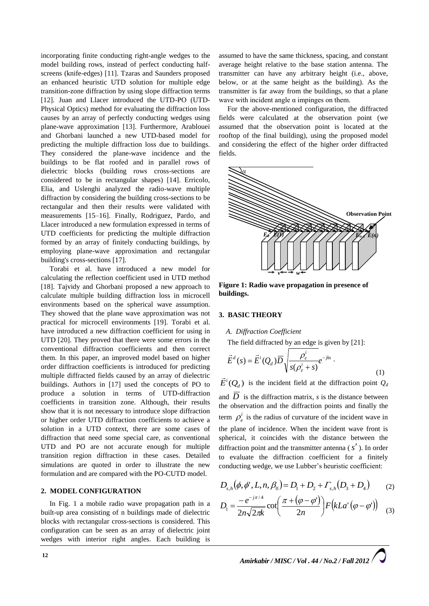incorporating finite conducting right-angle wedges to the model building rows, instead of perfect conducting halfscreens (knife-edges) [11]. Tzaras and Saunders proposed an enhanced heuristic UTD solution for multiple edge transition-zone diffraction by using slope diffraction terms [12]. Juan and Llacer introduced the UTD-PO (UTD-Physical Optics) method for evaluating the diffraction loss causes by an array of perfectly conducting wedges using plane-wave approximation [13]. Furthermore, Arablouei and Ghorbani launched a new UTD-based model for predicting the multiple diffraction loss due to buildings. They considered the plane-wave incidence and the buildings to be flat roofed and in parallel rows of dielectric blocks (building rows cross-sections are considered to be in rectangular shapes) [14]. Erricolo, Elia, and Uslenghi analyzed the radio-wave multiple diffraction by considering the building cross-sections to be rectangular and then their results were validated with measurements [15–16]. Finally, Rodriguez, Pardo, and Llacer introduced a new formulation expressed in terms of UTD coefficients for predicting the multiple diffraction formed by an array of finitely conducting buildings, by employing plane-wave approximation and rectangular building's cross-sections [17].

Torabi et al. have introduced a new model for calculating the reflection coefficient used in UTD method [18]. Tajvidy and Ghorbani proposed a new approach to calculate multiple building diffraction loss in microcell environments based on the spherical wave assumption. They showed that the plane wave approximation was not practical for microcell environments [19]. Torabi et al. have introduced a new diffraction coefficient for using in UTD [20]. They proved that there were some errors in the conventional diffraction coefficients and then correct them. In this paper, an improved model based on higher order diffraction coefficients is introduced for predicting multiple diffracted fields caused by an array of dielectric buildings. Authors in [17] used the concepts of PO to produce a solution in terms of UTD-diffraction coefficients in transition zone. Although, their results show that it is not necessary to introduce slope diffraction or higher order UTD diffraction coefficients to achieve a solution in a UTD context, there are some cases of diffraction that need some special care, as conventional UTD and PO are not accurate enough for multiple transition region diffraction in these cases. Detailed simulations are quoted in order to illustrate the new formulation and are compared with the PO-CUTD model.

## **2. MODEL CONFIGURATION**

In Fig. 1 a mobile radio wave propagation path in a built-up area consisting of n buildings made of dielectric blocks with rectangular cross-sections is considered. This configuration can be seen as an array of dielectric joint wedges with interior right angles. Each building is assumed to have the same thickness, spacing, and constant average height relative to the base station antenna. The transmitter can have any arbitrary height (i.e., above, below, or at the same height as the building). As the transmitter is far away from the buildings, so that a plane wave with incident angle  $\alpha$  impinges on them.

For the above-mentioned configuration, the diffracted fields were calculated at the observation point (we assumed that the observation point is located at the rooftop of the final building), using the proposed model and considering the effect of the higher order diffracted fields.



**Figure 1: Radio wave propagation in presence of buildings.**

## **3. BASIC THEORY**

## *A. Diffraction Coefficient*

The field diffracted by an edge is given by [21]:

$$
\vec{E}^d(s) = \vec{E}^i(Q_d)\overline{D}\sqrt{\frac{\rho_e^i}{s(\rho_e^i + s)}}e^{-jks}.
$$
\n(1)

 $\vec{E}^i(Q_d)$  $\overline{a}$ is the incident field at the diffraction point  $Q_d$ and  $D$  is the diffraction matrix,  $s$  is the distance between the observation and the diffraction points and finally the term  $\rho_e^i$  is the radius of curvature of the incident wave in the plane of incidence. When the incident wave front is spherical, it coincides with the distance between the diffraction point and the transmitter antenna ( *s* ). In order to evaluate the diffraction coefficient for a finitely conducting wedge, we use Lubber's heuristic coefficient:

$$
D_{s,h}(\phi, \phi', L, n, \beta_0) = D_1 + D_2 + \Gamma_{s,h}(D_3 + D_4)
$$
 (2)  

$$
D_1 = \frac{-e^{-j\pi/4}}{2n\sqrt{2\pi k}} \cot\left(\frac{\pi + (\phi - \phi')}{2n}\right) F\left(kLa^+(\phi - \phi')\right)
$$
 (3)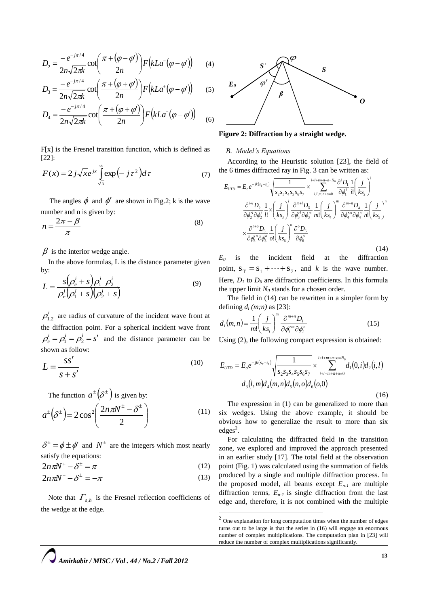$$
D_2 = \frac{-e^{-j\pi/4}}{2n\sqrt{2\pi k}} \cot\left(\frac{\pi + (\varphi - \varphi')}{2n}\right) F\left(kLa^{-}(\varphi - \varphi')\right) \tag{4}
$$

$$
D_3 = \frac{-e^{-j\pi/4}}{2n\sqrt{2\pi k}} \cot\left(\frac{\pi + (\varphi + \varphi')}{2n}\right) F\left(kLa^+(\varphi - \varphi')\right) \tag{5}
$$

$$
D_4 = \frac{-e^{-j\pi/4}}{2n\sqrt{2\pi k}} \cot\left(\frac{\pi + (\varphi + \varphi')}{2n}\right) F\left(kLa^{-}(\varphi - \varphi')\right) \tag{6}
$$

F[x] is the Fresnel transition function, which is defined as [22]:

$$
F(x) = 2j\sqrt{x}e^{jx}\int_{\overline{x}}^{\infty} \exp(-j\tau^2)d\tau
$$
 (7)

The angles  $\phi$  and  $\phi'$  are shown in Fig.2; k is the wave number and n is given by:

$$
n = \frac{2\pi - \beta}{\pi} \tag{8}
$$

 $\beta$  is the interior wedge angle.

In the above formulas, L is the distance parameter given by:

$$
L = \frac{s(\rho_e^i + s)\rho_1^i \rho_2^i}{\rho_e^i(\rho_1^i + s)(\rho_2^i + s)}
$$
(9)

 $\rho_{1,2}^i$  are radius of curvature of the incident wave front at the diffraction point. For a spherical incident wave front  $\rho_e^i = \rho_1^i = \rho_2^i = s$  $\rho_e^i = \rho_1^i = \rho_2^i = s'$  and the distance parameter can be shown as follow:

$$
L = \frac{ss'}{s+s'}\tag{10}
$$

The function 
$$
a^{\pm}(\delta^{\pm})
$$
 is given by:  
\n
$$
a^{\pm}(\delta^{\pm}) = 2\cos^2\left(\frac{2n\pi N^{\pm} - \delta^{\pm}}{2}\right)
$$
\n(11)

 $\delta^{\pm} = \phi \pm \phi'$  and  $N^{\pm}$  are the integers which most nearly satisfy the equations:

$$
2n\pi N^+ - \delta^{\pm} = \pi \tag{12}
$$

$$
2n\pi N^{-} - \delta^{\pm} = -\pi
$$
 (13)

Note that  $\Gamma_{s,h}$  is the Fresnel reflection coefficients of the wedge at the edge.



**Figure 2: Diffraction by a straight wedge.**

#### *B. Model's Equations*

According to the Heuristic solution [23], the field of the 6 times diffracted ray in Fig. 3 can be written as:

$$
\frac{(\rho-\varphi)}{2n} F(kLa(\varphi-\varphi))
$$
\n
$$
\frac{(\rho+\varphi)}{2n} F(kLa^*(\varphi-\varphi))
$$
\n
$$
\frac{(6+\varphi)}{2n} F(kLa^*(\varphi-\varphi))
$$
\n
$$
\frac{(6+\varphi)}{2n} F(kLa^*(\varphi-\varphi))
$$
\n
$$
\frac{(6+\varphi)}{2n} F(kLa^*(\varphi-\varphi))
$$
\n
$$
\frac{(6+\varphi)}{2n} F(kLa^*(\varphi-\varphi))
$$
\n
$$
\frac{(6+\varphi)}{2n} F(kLa^*(\varphi-\varphi))
$$
\n
$$
\frac{(6+\varphi)}{2n} F(kLa^*(\varphi-\varphi))
$$
\n
$$
\frac{(6+\varphi)}{2n} F(kLa^*(\varphi-\varphi))
$$
\n
$$
\frac{(6+\varphi)}{2n} F(kLa^*(\varphi-\varphi))
$$
\n
$$
\frac{(6+\varphi)}{2n} F(kLa^*(\varphi-\varphi))
$$
\n
$$
\frac{(6+\varphi)}{2n} F(kLa^*(\varphi-\varphi))
$$
\n
$$
\frac{(6+\varphi)}{2n} F(kLa^*(\varphi-\varphi))
$$
\n
$$
\frac{(6+\varphi)}{2n} F(kA^*(\varphi-\varphi))
$$
\n
$$
\frac{(6+\varphi)}{2n} F(kA^*(\varphi-\varphi))
$$
\n
$$
\frac{(6+\varphi)}{2n} F(kA^*(\varphi-\varphi))
$$
\n
$$
\frac{(6+\varphi)}{2n} F(kA^*(\varphi-\varphi))
$$
\n
$$
\frac{(6+\varphi)}{2n} F(kA^*(\varphi-\varphi))
$$
\n
$$
\frac{(6+\varphi)}{2n} F(kA^*(\varphi-\varphi))
$$
\n
$$
\frac{(6+\varphi)}{2n} F(kA^*(\varphi-\varphi))
$$
\n
$$
\frac{(6+\varphi)}{2n} F(kA^*(\varphi-\varphi))
$$
\n
$$
\frac{(6+\varphi)}{2n} F(kA^*(\varphi-\varphi))
$$
\n
$$
\frac{(6+\varphi)}{2n} F(kA^*(\varphi-\varphi))
$$
\n
$$
\
$$

*E<sup>0</sup>* is the incident field at the diffraction point,  $S_T = S_1 + \cdots + S_7$ , and *k* is the wave number. Here,  $D_1$  to  $D_6$  are diffraction coefficients. In this formula the upper limit  $N_0$  stands for a chosen order.

The field in (14) can be rewritten in a simpler form by defining  $d_i$   $(m;n)$  as [23]:

$$
d_i(m,n) = \frac{1}{m!} \left(\frac{j}{ks_i}\right)^m \frac{\partial^{m+n} D_i}{\partial \phi_i'^m \partial \phi_i^n}
$$
 (15)

Using (2), the following compact expression is obtained:

$$
E_{UTD} = E_o e^{-jk(s_T - s_1)} \sqrt{\frac{1}{s_2 s_3 s_4 s_5 s_6 s_7}} \times \sum_{i+l+m+n+o=0}^{i+l+m+n+o=N_0} d_1(0, i) d_2(i, l)
$$
  

$$
d_3(l, m) d_4(m, n) d_5(n, o) d_6(o, 0)
$$
 (16)

The expression in (1) can be generalized to more than six wedges. Using the above example, it should be obvious how to generalize the result to more than six  $edges<sup>2</sup>$ .

For calculating the diffracted field in the transition zone, we explored and improved the approach presented in an earlier study [17]. The total field at the observation point (Fig. 1) was calculated using the summation of fields produced by a single and multiple diffraction process. In the proposed model, all beams except *En-1* are multiple diffraction terms,  $E_{n-1}$  is single diffraction from the last edge and, therefore, it is not combined with the multiple

*Amirkabir / MISC / Vol . 44 / No.2 / Fall 2012*

 $\frac{1}{2}$  One explanation for long computation times when the number of edges turns out to be large is that the series in (16) will engage an enormous number of complex multiplications. The computation plan in [23] will reduce the number of complex multiplications significantly.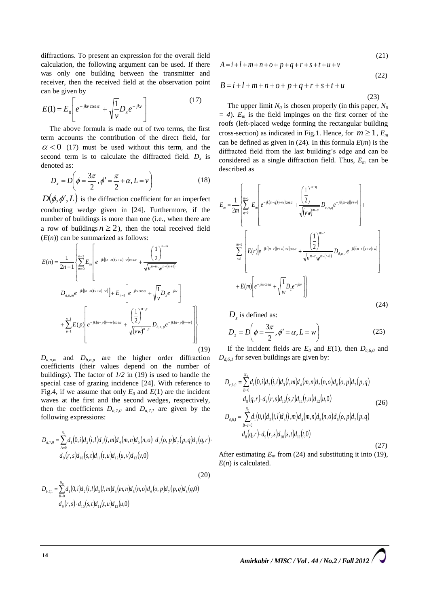diffractions. To present an expression for the overall field calculation, the following argument can be used. If there was only one building between the transmitter and receiver, then the received field at the observation point can be given by

$$
E(1) = E_0 \left[ e^{-jkv\cos\alpha} + \sqrt{\frac{1}{v} D_x e^{-jkv}} \right]
$$
 (17)

The above formula is made out of two terms, the first term accounts the contribution of the direct field, for  $\alpha$  < 0 (17) must be used without this term, and the second term is to calculate the diffracted field.  $D_x$  is denoted as:

$$
D_x = D\left(\phi = \frac{3\pi}{2}, \phi' = \frac{\pi}{2} + \alpha, L = \nu\right)
$$
 (18)

 $D(\phi, \phi', L)$  is the diffraction coefficient for an imperfect conducting wedge given in [24]. Furthermore, if the number of buildings is more than one (i.e., when there are a row of buildings  $n \ge 2$ ), then the total received field  $(E(n))$  can be summarized as follows:

$$
E(n) = \frac{1}{2n-1} \left\{ \sum_{m=0}^{n-2} E_m \right\} e^{-jk[(n-m)(v+w)-w]\cos\alpha} + \frac{\left(\frac{1}{2}\right)^{n-m}}{\sqrt{v^{n-m}w^{n-(m+1)}}}
$$
  

$$
D_{a,n,m}e^{-jk[(n-m)(v+w)-w]} \right\} + E_{n-1} \left[ e^{-jkv\cos\alpha} + \sqrt{\frac{1}{v}} D_x e^{-jkv} \right]
$$
  

$$
+ \sum_{p=1}^{n-1} E(p) \left[ e^{-jk(n-p)(v+w)\cos\alpha} + \frac{\left(\frac{1}{2}\right)^{n-p}}{\sqrt{(vw)^{n-p}}} D_{b,n,p} e^{-jk(n-p)(v+w)} \right] \right\}
$$
  
(19)

*Da,n,m* and *Db,n,p* are the higher order diffraction coefficients (their values depend on the number of buildings). The factor of *1/2* in (19) is used to handle the special case of grazing incidence [24]. With reference to Fig.4, if we assume that only  $E_0$  and  $E(1)$  are the incident waves at the first and the second wedges, respectively, then the coefficients  $D_{a,7,0}$  and  $D_{a,7,1}$  are given by the following expressions:

$$
D_{a,7,0} = \sum_{A=0}^{N_0} d_1(0,i)d_2(i,l)d_3(l,m)d_4(m,n)d_5(n,o) d_6(o,p)d_7(p,q)d_8(q,r)
$$
  

$$
d_9(r,s)d_{10}(s,t)d_{11}(t,u)d_{12}(u,v)d_{13}(v,0)
$$

$$
D_{b,7,1} = \sum_{B=0}^{N_0} d_1(0,i)d_2(i,l)d_3(l,m)d_4(m,n)d_5(n,o)d_6(o,p)d_7(p,q)d_8(q,0)
$$
  

$$
d_9(r,s) \cdot d_{10}(s,t)d_{11}(t,u)d_{12}(u,0)
$$

$$
A = i + l + m + n + o + p + q + r + s + t + u + v \tag{21}
$$

$$
\begin{array}{c} 1 \end{array} \tag{22}
$$

(23)

$$
B = i + l + m + n + o + p + q + r + s + t + u
$$

The upper limit  $N_0$  is chosen properly (in this paper,  $N_0$  $= 4$ ).  $E_m$  is the field impinges on the first corner of the roofs (left-placed wedge forming the rectangular building cross-section) as indicated in Fig.1. Hence, for  $m \ge 1$ ,  $E_m$ can be defined as given in (24). In this formula *E*(*m*) is the diffracted field from the last building's edge and can be considered as a single diffraction field. Thus, *E<sup>m</sup>* can be described as

$$
E_{m} = \frac{1}{2m} \left\{ \sum_{q=0}^{m-1} E_{m} \left[ e^{-jk(m-q)(v+w)\cos\alpha} + \frac{\left(\frac{1}{2}\right)^{m-q}}{\sqrt{(vw)^{m-q}}} D_{c,m,q} e^{-jk(m-q)(v+w)} \right] + \sum_{r=1}^{m-1} \left[ E(r) \left[ e^{-jk[(m-r)(v+w)+w]\cos\alpha} + \frac{\left(\frac{1}{2}\right)^{m-r}}{\sqrt{v^{m-r}w^{m-(r+1)}}} D_{d,m,r} e^{-jk[(m-r)(v+w)+w]} \right] + \sum_{r=1}^{m-1} \left[ E(r) \left[ e^{-jkw\cos\alpha} + \sqrt{\frac{1}{w}} D_{c} e^{-jkw} \right] \right] \right\}
$$
(24)

 $D_z$  is defined as:

(20)

$$
D_z = D\left(\phi = \frac{3\pi}{2}, \phi' = \alpha, L = w\right)
$$
 (25)

 *Dd,6,1* for seven buildings are given by: If the incident fields are  $E_0$  and  $E(1)$ , then  $D_{c,6,0}$  and

$$
D_{c,6,0} = \sum_{B=0}^{N_0} d_1(0,i)d_2(i,l)d_3(l,m)d_4(m,n)d_5(n,o)d_6(o,p)d_7(p,q)
$$
  
\n
$$
d_8(q,r) \cdot d_9(r,s)d_{10}(s,t)d_{11}(t,u)d_{12}(u,0)
$$
  
\n
$$
D_{d,6,1} = \sum_{B=u=0}^{N_0} d_1(0,i)d_2(i,l)d_3(l,m)d_4(m,n)d_5(n,o)d_6(o,p)d_7(p,q)
$$
  
\n
$$
d_8(q,r) \cdot d_9(r,s)d_{10}(s,t)d_{11}(t,0)
$$
\n(27)

After estimating  $E_m$  from (24) and substituting it into (19), *E*(*n*) is calculated.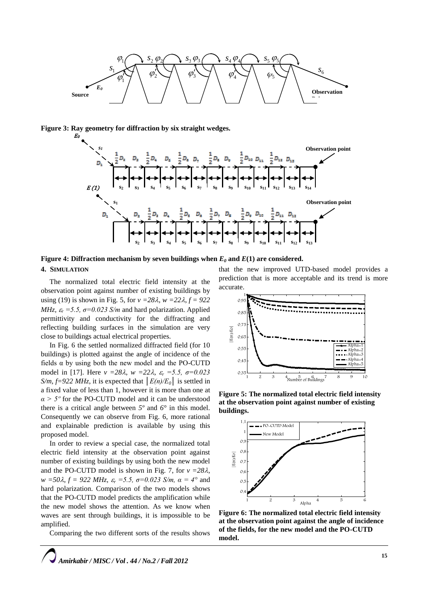

**Figure 3: Ray geometry for diffraction by six straight wedges.**



**Figure 4: Diffraction mechanism by seven buildings when**  $E_{\theta}$  **and**  $E(1)$  **are considered.** 

## **4. SIMULATION**

The normalized total electric field intensity at the observation point against number of existing buildings by using (19) is shown in Fig. 5, for  $v = 28\lambda$ ,  $w = 22\lambda$ ,  $f = 922$ *MHz,*  $\varepsilon_r$  *=5.5,*  $\sigma$ *=0.023 S/m* and hard polarization. Applied permittivity and conductivity for the diffracting and reflecting building surfaces in the simulation are very close to buildings actual electrical properties.

In Fig. 6 the settled normalized diffracted field (for 10 buildings) is plotted against the angle of incidence of the fields  $\alpha$  by using both the new model and the PO-CUTD model in [17]. Here *v =28, w =22, <sup>r</sup> =5.5, σ=0.023 S/m,*  $f=922 \text{ MHz}$ , it is expected that  $|E(n)/E_0|$  is settled in a fixed value of less than 1, however it is more than one at *α > 5º* for the PO-CUTD model and it can be understood there is a critical angle between *5º* and *6°* in this model. Consequently we can observe from Fig. 6, more rational and explainable prediction is available by using this proposed model.

In order to review a special case, the normalized total electric field intensity at the observation point against number of existing buildings by using both the new model and the PO-CUTD model is shown in Fig. 7, for  $v = 28\lambda$ ,  $w = 50\lambda$ ,  $f = 922$  *MHz*,  $\varepsilon_r = 5.5$ ,  $\sigma = 0.023$  *S/m*,  $\alpha = 4^\circ$  and hard polarization. Comparison of the two models shows that the PO-CUTD model predicts the amplification while the new model shows the attention. As we know when waves are sent through buildings, it is impossible to be amplified.

Comparing the two different sorts of the results shows

that the new improved UTD-based model provides a prediction that is more acceptable and its trend is more accurate.



**Figure 5: The normalized total electric field intensity at the observation point against number of existing buildings.** 



**Figure 6: The normalized total electric field intensity at the observation point against the angle of incidence of the fields, for the new model and the PO-CUTD model.**